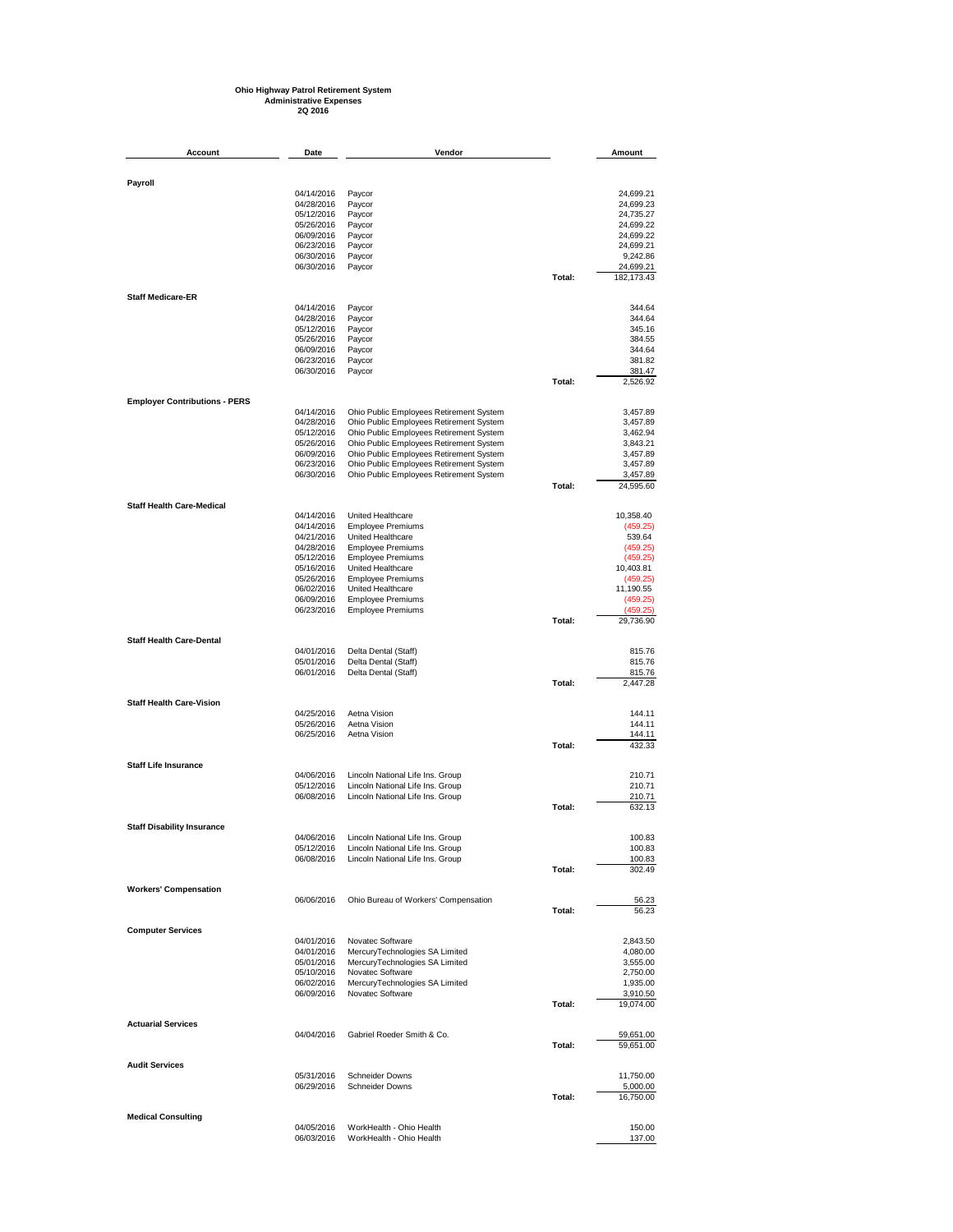## **Ohio Highway Patrol Retirement System Administrative Expenses 2Q 2016**

| Account                              | Date                     | Vendor                                                                             |        | Amount                 |
|--------------------------------------|--------------------------|------------------------------------------------------------------------------------|--------|------------------------|
|                                      |                          |                                                                                    |        |                        |
| Payroll                              | 04/14/2016               |                                                                                    |        | 24,699.21              |
|                                      | 04/28/2016               | Paycor<br>Paycor                                                                   |        | 24,699.23              |
|                                      | 05/12/2016               | Paycor                                                                             |        | 24,735.27              |
|                                      | 05/26/2016               | Paycor                                                                             |        | 24,699.22              |
|                                      | 06/09/2016<br>06/23/2016 | Paycor<br>Paycor                                                                   |        | 24,699.22<br>24,699.21 |
|                                      | 06/30/2016               | Paycor                                                                             |        | 9,242.86               |
|                                      | 06/30/2016               | Paycor                                                                             |        | 24,699.21              |
|                                      |                          |                                                                                    | Total: | 182, 173. 43           |
| <b>Staff Medicare-ER</b>             | 04/14/2016               | Paycor                                                                             |        | 344.64                 |
|                                      | 04/28/2016               | Paycor                                                                             |        | 344.64                 |
|                                      | 05/12/2016               | Paycor                                                                             |        | 345.16                 |
|                                      | 05/26/2016<br>06/09/2016 | Paycor<br>Paycor                                                                   |        | 384.55<br>344.64       |
|                                      | 06/23/2016               | Paycor                                                                             |        | 381.82                 |
|                                      | 06/30/2016               | Paycor                                                                             |        | 381.47                 |
|                                      |                          |                                                                                    | Total: | 2,526.92               |
| <b>Employer Contributions - PERS</b> | 04/14/2016               | Ohio Public Employees Retirement System                                            |        | 3,457.89               |
|                                      | 04/28/2016               | Ohio Public Employees Retirement System                                            |        | 3,457.89               |
|                                      | 05/12/2016               | Ohio Public Employees Retirement System                                            |        | 3,462.94               |
|                                      | 05/26/2016               | Ohio Public Employees Retirement System<br>Ohio Public Employees Retirement System |        | 3,843.21               |
|                                      | 06/09/2016<br>06/23/2016 | Ohio Public Employees Retirement System                                            |        | 3,457.89<br>3,457.89   |
|                                      | 06/30/2016               | Ohio Public Employees Retirement System                                            |        | 3,457.89               |
|                                      |                          |                                                                                    | Total: | 24,595.60              |
| <b>Staff Health Care-Medical</b>     |                          |                                                                                    |        |                        |
|                                      | 04/14/2016<br>04/14/2016 | United Healthcare<br><b>Employee Premiums</b>                                      |        | 10,358.40<br>(459.25)  |
|                                      | 04/21/2016               | United Healthcare                                                                  |        | 539.64                 |
|                                      | 04/28/2016               | <b>Employee Premiums</b>                                                           |        | (459.25)               |
|                                      | 05/12/2016               | <b>Employee Premiums</b>                                                           |        | (459.25)               |
|                                      | 05/16/2016<br>05/26/2016 | United Healthcare<br><b>Employee Premiums</b>                                      |        | 10,403.81<br>(459.25)  |
|                                      | 06/02/2016               | United Healthcare                                                                  |        | 11,190.55              |
|                                      | 06/09/2016               | <b>Employee Premiums</b>                                                           |        | (459.25)               |
|                                      | 06/23/2016               | <b>Employee Premiums</b>                                                           | Total: | (459.25)<br>29,736.90  |
| <b>Staff Health Care-Dental</b>      |                          |                                                                                    |        |                        |
|                                      | 04/01/2016               | Delta Dental (Staff)                                                               |        | 815.76                 |
|                                      | 05/01/2016               | Delta Dental (Staff)                                                               |        | 815.76                 |
|                                      | 06/01/2016               | Delta Dental (Staff)                                                               | Total: | 815.76<br>2,447.28     |
| <b>Staff Health Care-Vision</b>      |                          |                                                                                    |        |                        |
|                                      | 04/25/2016               | Aetna Vision                                                                       |        | 144.11                 |
|                                      | 05/26/2016<br>06/25/2016 | Aetna Vision<br>Aetna Vision                                                       |        | 144.11<br>144.11       |
|                                      |                          |                                                                                    | Total: | 432.33                 |
| <b>Staff Life Insurance</b>          |                          |                                                                                    |        |                        |
|                                      | 04/06/2016               | Lincoln National Life Ins. Group                                                   |        | 210.71                 |
|                                      | 05/12/2016<br>06/08/2016 | Lincoln National Life Ins. Group<br>Lincoln National Life Ins. Group               |        | 210.71<br>210.71       |
|                                      |                          |                                                                                    | Total: | 632.13                 |
| <b>Staff Disability Insurance</b>    |                          |                                                                                    |        |                        |
|                                      | 04/06/2016               | Lincoln National Life Ins. Group                                                   |        | 100.83                 |
|                                      | 05/12/2016<br>06/08/2016 | Lincoln National Life Ins. Group<br>Lincoln National Life Ins. Group               |        | 100.83<br>100.83       |
|                                      |                          |                                                                                    | Total: | 302.49                 |
| <b>Workers' Compensation</b>         |                          |                                                                                    |        |                        |
|                                      | 06/06/2016               | Ohio Bureau of Workers' Compensation                                               | Total: | 56.23<br>56.23         |
|                                      |                          |                                                                                    |        |                        |
| <b>Computer Services</b>             | 04/01/2016               | Novatec Software                                                                   |        | 2,843.50               |
|                                      | 04/01/2016               | MercuryTechnologies SA Limited                                                     |        | 4,080.00               |
|                                      | 05/01/2016               | MercuryTechnologies SA Limited                                                     |        | 3,555.00               |
|                                      | 05/10/2016<br>06/02/2016 | Novatec Software<br>MercuryTechnologies SA Limited                                 |        | 2,750.00               |
|                                      | 06/09/2016               | Novatec Software                                                                   |        | 1,935.00<br>3,910.50   |
|                                      |                          |                                                                                    | Total: | 19,074.00              |
| <b>Actuarial Services</b>            |                          |                                                                                    |        |                        |
|                                      | 04/04/2016               | Gabriel Roeder Smith & Co.                                                         | Total: | 59,651.00<br>59,651.00 |
|                                      |                          |                                                                                    |        |                        |
| <b>Audit Services</b>                | 05/31/2016               | <b>Schneider Downs</b>                                                             |        | 11,750.00              |
|                                      | 06/29/2016               | <b>Schneider Downs</b>                                                             | Total: | 5,000.00<br>16,750.00  |
|                                      |                          |                                                                                    |        |                        |
| <b>Medical Consulting</b>            | 04/05/2016               | WorkHealth - Ohio Health                                                           |        | 150.00                 |
|                                      | 06/03/2016               | WorkHealth - Ohio Health                                                           |        | 137.00                 |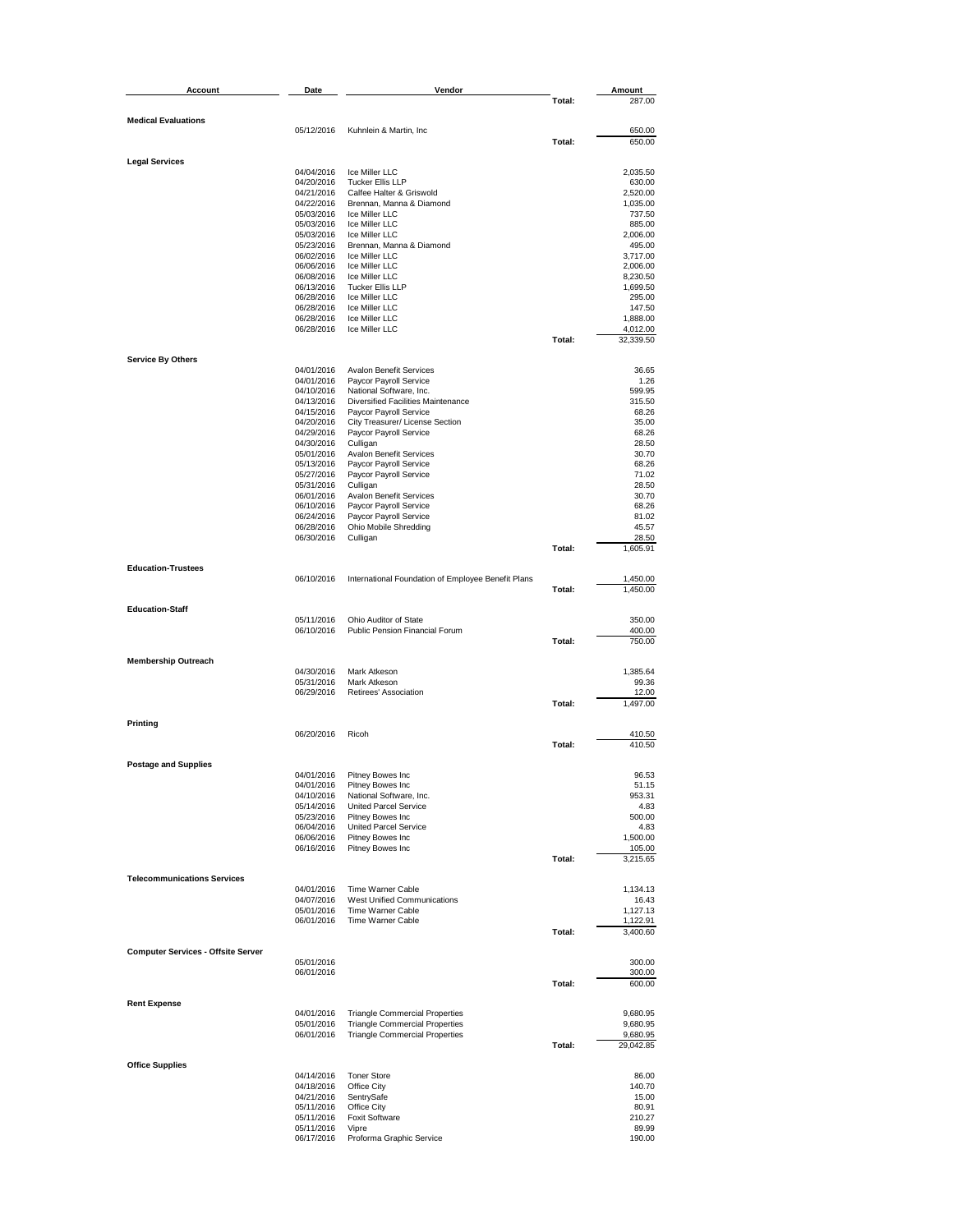| Account                                   | Date                     | Vendor                                                  |        | Amount                |
|-------------------------------------------|--------------------------|---------------------------------------------------------|--------|-----------------------|
|                                           |                          |                                                         | Total: | 287.00                |
| <b>Medical Evaluations</b>                |                          |                                                         |        |                       |
|                                           | 05/12/2016               | Kuhnlein & Martin, Inc.                                 |        | 650.00                |
|                                           |                          |                                                         | Total: | 650.00                |
| <b>Legal Services</b>                     |                          |                                                         |        |                       |
|                                           | 04/04/2016               | Ice Miller LLC                                          |        | 2,035.50              |
|                                           | 04/20/2016               | <b>Tucker Ellis LLP</b>                                 |        | 630.00                |
|                                           | 04/21/2016               | Calfee Halter & Griswold                                |        | 2,520.00              |
|                                           | 04/22/2016<br>05/03/2016 | Brennan, Manna & Diamond<br>Ice Miller LLC              |        | 1,035.00<br>737.50    |
|                                           | 05/03/2016               | Ice Miller LLC                                          |        | 885.00                |
|                                           | 05/03/2016               | Ice Miller LLC                                          |        | 2,006.00              |
|                                           | 05/23/2016               | Brennan, Manna & Diamond                                |        | 495.00                |
|                                           | 06/02/2016               | Ice Miller LLC                                          |        | 3,717.00              |
|                                           | 06/06/2016<br>06/08/2016 | Ice Miller LLC<br>Ice Miller LLC                        |        | 2,006.00<br>8,230.50  |
|                                           | 06/13/2016               | <b>Tucker Ellis LLP</b>                                 |        | 1,699.50              |
|                                           | 06/28/2016               | Ice Miller LLC                                          |        | 295.00                |
|                                           | 06/28/2016               | Ice Miller LLC                                          |        | 147.50                |
|                                           | 06/28/2016               | Ice Miller LLC                                          |        | 1,888.00              |
|                                           | 06/28/2016               | Ice Miller LLC                                          | Total: | 4,012.00<br>32,339.50 |
|                                           |                          |                                                         |        |                       |
| <b>Service By Others</b>                  |                          |                                                         |        |                       |
|                                           | 04/01/2016               | <b>Avalon Benefit Services</b>                          |        | 36.65                 |
|                                           | 04/01/2016<br>04/10/2016 | Paycor Payroll Service<br>National Software, Inc.       |        | 1.26<br>599.95        |
|                                           | 04/13/2016               | Diversified Facilities Maintenance                      |        | 315.50                |
|                                           | 04/15/2016               | Paycor Payroll Service                                  |        | 68.26                 |
|                                           | 04/20/2016               | City Treasurer/ License Section                         |        | 35.00                 |
|                                           | 04/29/2016               | Paycor Payroll Service                                  |        | 68.26                 |
|                                           | 04/30/2016<br>05/01/2016 | Culligan<br><b>Avalon Benefit Services</b>              |        | 28.50<br>30.70        |
|                                           | 05/13/2016               | Paycor Payroll Service                                  |        | 68.26                 |
|                                           | 05/27/2016               | Paycor Payroll Service                                  |        | 71.02                 |
|                                           | 05/31/2016               | Culligan                                                |        | 28.50                 |
|                                           | 06/01/2016               | Avalon Benefit Services                                 |        | 30.70                 |
|                                           | 06/10/2016<br>06/24/2016 | Paycor Payroll Service<br>Paycor Payroll Service        |        | 68.26<br>81.02        |
|                                           | 06/28/2016               | Ohio Mobile Shredding                                   |        | 45.57                 |
|                                           | 06/30/2016               | Culligan                                                |        | 28.50                 |
|                                           |                          |                                                         | Total: | 1,605.91              |
| <b>Education-Trustees</b>                 |                          |                                                         |        |                       |
|                                           | 06/10/2016               | International Foundation of Employee Benefit Plans      |        | 1,450.00              |
|                                           |                          |                                                         | Total: | 1,450.00              |
|                                           |                          |                                                         |        |                       |
| <b>Education-Staff</b>                    |                          |                                                         |        |                       |
|                                           | 05/11/2016<br>06/10/2016 | Ohio Auditor of State<br>Public Pension Financial Forum |        | 350.00<br>400.00      |
|                                           |                          |                                                         | Total: | 750.00                |
|                                           |                          |                                                         |        |                       |
| <b>Membership Outreach</b>                |                          |                                                         |        |                       |
|                                           | 04/30/2016               | Mark Atkeson                                            |        | 1,385.64              |
|                                           | 05/31/2016<br>06/29/2016 | Mark Atkeson<br>Retirees' Association                   |        | 99.36<br>12.00        |
|                                           |                          |                                                         | Total: | 1,497.00              |
|                                           |                          |                                                         |        |                       |
| Printing                                  |                          |                                                         |        |                       |
|                                           | 06/20/2016               | Ricoh                                                   |        | 410.50                |
|                                           |                          |                                                         | Total: | 410.50                |
| <b>Postage and Supplies</b>               |                          |                                                         |        |                       |
|                                           | 04/01/2016               | Pitney Bowes Inc                                        |        | 96.53                 |
|                                           | 04/01/2016               | Pitney Bowes Inc                                        |        | 51.15                 |
|                                           | 04/10/2016<br>05/14/2016 | National Software, Inc.<br><b>United Parcel Service</b> |        | 953.31<br>4.83        |
|                                           | 05/23/2016               | Pitney Bowes Inc                                        |        | 500.00                |
|                                           | 06/04/2016               | <b>United Parcel Service</b>                            |        | 4.83                  |
|                                           | 06/06/2016               | Pitney Bowes Inc                                        |        | 1,500.00              |
|                                           | 06/16/2016               | Pitney Bowes Inc                                        |        | 105.00                |
|                                           |                          |                                                         | Total: | 3,215.65              |
| <b>Telecommunications Services</b>        |                          |                                                         |        |                       |
|                                           | 04/01/2016               | Time Warner Cable                                       |        | 1,134.13              |
|                                           | 04/07/2016               | West Unified Communications                             |        | 16.43                 |
|                                           | 05/01/2016               | Time Warner Cable<br>Time Warner Cable                  |        | 1,127.13              |
|                                           | 06/01/2016               |                                                         | Total: | 1,122.91<br>3,400.60  |
|                                           |                          |                                                         |        |                       |
| <b>Computer Services - Offsite Server</b> |                          |                                                         |        |                       |
|                                           | 05/01/2016               |                                                         |        | 300.00                |
|                                           | 06/01/2016               |                                                         | Total: | 300.00<br>600.00      |
|                                           |                          |                                                         |        |                       |
| <b>Rent Expense</b>                       |                          |                                                         |        |                       |
|                                           | 04/01/2016               | <b>Triangle Commercial Properties</b>                   |        | 9,680.95              |
|                                           | 05/01/2016               | <b>Triangle Commercial Properties</b>                   |        | 9,680.95              |
|                                           | 06/01/2016               | <b>Triangle Commercial Properties</b>                   | Total: | 9,680.95              |
|                                           |                          |                                                         |        | 29,042.85             |
| <b>Office Supplies</b>                    |                          |                                                         |        |                       |
|                                           | 04/14/2016               | <b>Toner Store</b>                                      |        | 86.00                 |
|                                           | 04/18/2016               | Office City                                             |        | 140.70                |
|                                           | 04/21/2016<br>05/11/2016 | SentrySafe<br>Office City                               |        | 15.00<br>80.91        |
|                                           | 05/11/2016               | <b>Foxit Software</b>                                   |        | 210.27                |
|                                           | 05/11/2016               | Vipre                                                   |        | 89.99                 |
|                                           | 06/17/2016               | Proforma Graphic Service                                |        | 190.00                |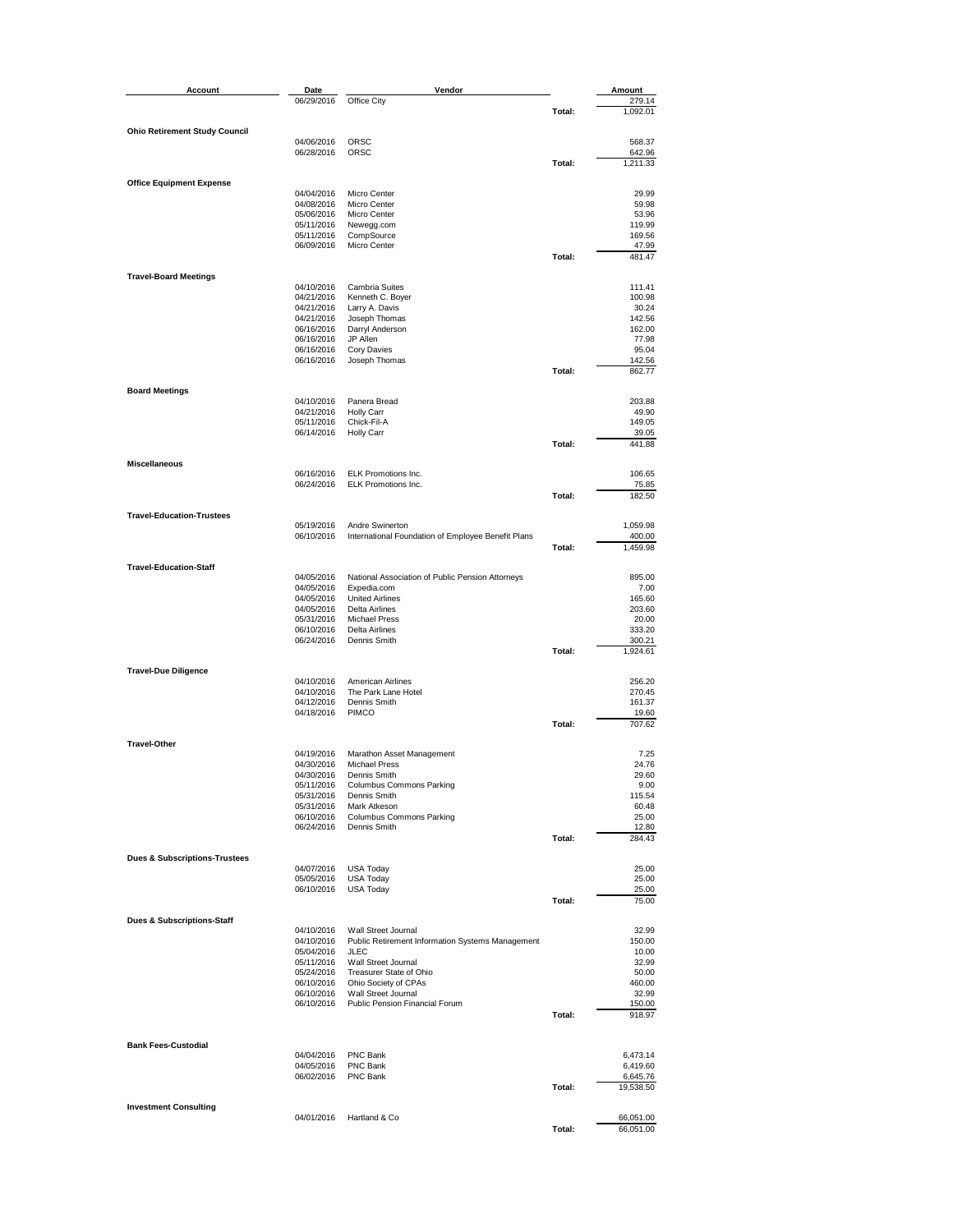| Account                                  | Date                     | Vendor                                                                  |        | Amount               |
|------------------------------------------|--------------------------|-------------------------------------------------------------------------|--------|----------------------|
|                                          | 06/29/2016               | Office City                                                             |        | 279.14               |
|                                          |                          |                                                                         | Total: | 1,092.01             |
| <b>Ohio Retirement Study Council</b>     |                          |                                                                         |        |                      |
|                                          | 04/06/2016<br>06/28/2016 | <b>ORSC</b><br>ORSC                                                     |        | 568.37<br>642.96     |
|                                          |                          |                                                                         | Total: | 1,211.33             |
|                                          |                          |                                                                         |        |                      |
| <b>Office Equipment Expense</b>          | 04/04/2016               | Micro Center                                                            |        | 29.99                |
|                                          | 04/08/2016               | Micro Center                                                            |        | 59.98                |
|                                          | 05/06/2016               | Micro Center                                                            |        | 53.96                |
|                                          | 05/11/2016<br>05/11/2016 | Newegg.com<br>CompSource                                                |        | 119.99<br>169.56     |
|                                          | 06/09/2016               | Micro Center                                                            |        | 47.99                |
|                                          |                          |                                                                         | Total: | 481.47               |
| <b>Travel-Board Meetings</b>             |                          |                                                                         |        |                      |
|                                          | 04/10/2016               | Cambria Suites                                                          |        | 111.41               |
|                                          | 04/21/2016<br>04/21/2016 | Kenneth C. Boyer<br>Larry A. Davis                                      |        | 100.98<br>30.24      |
|                                          | 04/21/2016               | Joseph Thomas                                                           |        | 142.56               |
|                                          | 06/16/2016               | Darryl Anderson                                                         |        | 162.00               |
|                                          | 06/16/2016<br>06/16/2016 | JP Allen<br>Cory Davies                                                 |        | 77.98<br>95.04       |
|                                          | 06/16/2016               | Joseph Thomas                                                           |        | 142.56               |
|                                          |                          |                                                                         | Total: | 862.77               |
| <b>Board Meetings</b>                    |                          |                                                                         |        |                      |
|                                          | 04/10/2016               | Panera Bread                                                            |        | 203.88               |
|                                          | 04/21/2016               | <b>Holly Carr</b>                                                       |        | 49.90                |
|                                          | 05/11/2016<br>06/14/2016 | Chick-Fil-A<br><b>Holly Carr</b>                                        |        | 149.05<br>39.05      |
|                                          |                          |                                                                         | Total: | 441.88               |
| <b>Miscellaneous</b>                     |                          |                                                                         |        |                      |
|                                          | 06/16/2016               | ELK Promotions Inc.                                                     |        | 106.65               |
|                                          | 06/24/2016               | <b>ELK Promotions Inc.</b>                                              |        | 75.85                |
|                                          |                          |                                                                         | Total: | 182.50               |
| <b>Travel-Education-Trustees</b>         |                          |                                                                         |        |                      |
|                                          | 05/19/2016               | Andre Swinerton                                                         |        | 1,059.98             |
|                                          | 06/10/2016               | International Foundation of Employee Benefit Plans                      |        | 400.00               |
|                                          |                          |                                                                         | Total: | 1,459.98             |
| <b>Travel-Education-Staff</b>            |                          |                                                                         |        |                      |
|                                          | 04/05/2016<br>04/05/2016 | National Association of Public Pension Attorneys<br>Expedia.com         |        | 895.00<br>7.00       |
|                                          | 04/05/2016               | <b>United Airlines</b>                                                  |        | 165.60               |
|                                          | 04/05/2016               | <b>Delta Airlines</b>                                                   |        | 203.60               |
|                                          | 05/31/2016<br>06/10/2016 | <b>Michael Press</b><br><b>Delta Airlines</b>                           |        | 20.00<br>333.20      |
|                                          | 06/24/2016               | Dennis Smith                                                            |        | 300.21               |
|                                          |                          |                                                                         | Total: | 1,924.61             |
| <b>Travel-Due Diligence</b>              |                          |                                                                         |        |                      |
|                                          | 04/10/2016               | American Airlines                                                       |        | 256.20               |
|                                          | 04/10/2016               | The Park Lane Hotel                                                     |        | 270.45               |
|                                          | 04/12/2016<br>04/18/2016 | Dennis Smith<br><b>PIMCO</b>                                            |        | 161.37<br>19.60      |
|                                          |                          |                                                                         | Total: | 707.62               |
|                                          |                          |                                                                         |        |                      |
| <b>Travel-Other</b>                      | 04/19/2016               | Marathon Asset Management                                               |        | 7.25                 |
|                                          | 04/30/2016               | <b>Michael Press</b>                                                    |        | 24.76                |
|                                          | 04/30/2016               | Dennis Smith<br>Columbus Commons Parking                                |        | 29.60<br>9.00        |
|                                          | 05/11/2016<br>05/31/2016 | Dennis Smith                                                            |        | 115.54               |
|                                          | 05/31/2016               | Mark Atkeson                                                            |        | 60.48                |
|                                          | 06/10/2016<br>06/24/2016 | Columbus Commons Parking<br>Dennis Smith                                |        | 25.00<br>12.80       |
|                                          |                          |                                                                         | Total: | 284.43               |
|                                          |                          |                                                                         |        |                      |
| <b>Dues &amp; Subscriptions Trustees</b> | 04/07/2016               | <b>USA Today</b>                                                        |        | 25.00                |
|                                          | 05/05/2016               | <b>USA Today</b>                                                        |        | 25.00                |
|                                          | 06/10/2016               | <b>USA Today</b>                                                        |        | 25.00                |
|                                          |                          |                                                                         | Total: | 75.00                |
| Dues & Subscriptions-Staff               |                          |                                                                         |        |                      |
|                                          | 04/10/2016               | Wall Street Journal<br>Public Retirement Information Systems Management |        | 32.99                |
|                                          | 04/10/2016<br>05/04/2016 | <b>JLEC</b>                                                             |        | 150.00<br>10.00      |
|                                          | 05/11/2016               | Wall Street Journal                                                     |        | 32.99                |
|                                          | 05/24/2016<br>06/10/2016 | Treasurer State of Ohio<br>Ohio Society of CPAs                         |        | 50.00<br>460.00      |
|                                          | 06/10/2016               | Wall Street Journal                                                     |        | 32.99                |
|                                          | 06/10/2016               | Public Pension Financial Forum                                          |        | 150.00               |
|                                          |                          |                                                                         | Total: | 918.97               |
|                                          |                          |                                                                         |        |                      |
| <b>Bank Fees-Custodial</b>               |                          |                                                                         |        |                      |
|                                          | 04/04/2016<br>04/05/2016 | PNC Bank<br>PNC Bank                                                    |        | 6,473.14<br>6,419.60 |
|                                          | 06/02/2016               | PNC Bank                                                                |        | 6,645.76             |
|                                          |                          |                                                                         | Total: | 19,538.50            |
| <b>Investment Consulting</b>             |                          |                                                                         |        |                      |
|                                          | 04/01/2016               | Hartland & Co                                                           |        | 66,051.00            |
|                                          |                          |                                                                         | Total: | 66,051.00            |